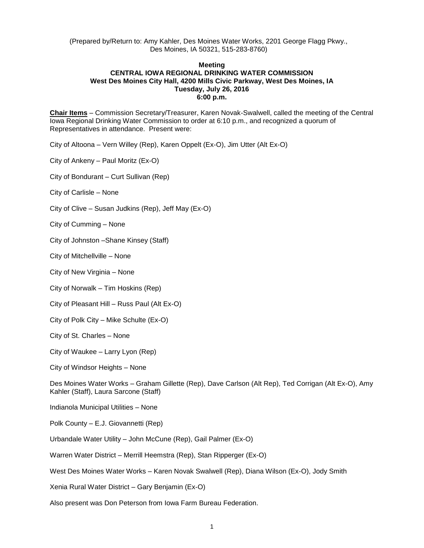(Prepared by/Return to: Amy Kahler, Des Moines Water Works, 2201 George Flagg Pkwy., Des Moines, IA 50321, 515-283-8760)

## **Meeting CENTRAL IOWA REGIONAL DRINKING WATER COMMISSION West Des Moines City Hall, 4200 Mills Civic Parkway, West Des Moines, IA Tuesday, July 26, 2016 6:00 p.m.**

**Chair Items** – Commission Secretary/Treasurer, Karen Novak-Swalwell, called the meeting of the Central Iowa Regional Drinking Water Commission to order at 6:10 p.m., and recognized a quorum of Representatives in attendance. Present were:

City of Altoona – Vern Willey (Rep), Karen Oppelt (Ex-O), Jim Utter (Alt Ex-O)

City of Ankeny – Paul Moritz (Ex-O)

City of Bondurant – Curt Sullivan (Rep)

City of Carlisle – None

City of Clive – Susan Judkins (Rep), Jeff May (Ex-O)

City of Cumming – None

City of Johnston –Shane Kinsey (Staff)

City of Mitchellville – None

City of New Virginia – None

City of Norwalk – Tim Hoskins (Rep)

City of Pleasant Hill – Russ Paul (Alt Ex-O)

City of Polk City – Mike Schulte (Ex-O)

City of St. Charles – None

City of Waukee – Larry Lyon (Rep)

City of Windsor Heights – None

Des Moines Water Works – Graham Gillette (Rep), Dave Carlson (Alt Rep), Ted Corrigan (Alt Ex-O), Amy Kahler (Staff), Laura Sarcone (Staff)

Indianola Municipal Utilities – None

Polk County – E.J. Giovannetti (Rep)

Urbandale Water Utility – John McCune (Rep), Gail Palmer (Ex-O)

Warren Water District – Merrill Heemstra (Rep), Stan Ripperger (Ex-O)

West Des Moines Water Works – Karen Novak Swalwell (Rep), Diana Wilson (Ex-O), Jody Smith

Xenia Rural Water District – Gary Benjamin (Ex-O)

Also present was Don Peterson from Iowa Farm Bureau Federation.